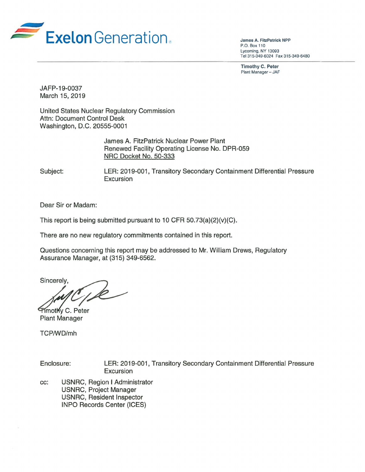

James A. FitzPatrick NPP P.O. Box 110 Lycoming. NY 13093 Tel 315·349-6024 Fax 315-349-6480

Timothy C. Peter Plant Manager - JAF

JAFP-19-0037 March 15, 2019

United States Nuclear Regulatory Commission Attn: Document Control Desk Washington, D.C. 20555-0001

> James A. FitzPatrick Nuclear Power Plant Renewed Facility Operating License No. DPR-059 NRG Docket No. 50-333

Subject: LER: 2019-001, Transitory Secondary Containment Differential Pressure Excursion

Dear Sir or Madam:

This report is being submitted pursuant to 10 CFR  $50.73(a)(2)(v)(C)$ .

There are no new regulatory commitments contained in this report.

Questions concerning this report may be addressed to Mr. William Drews, Regulatory Assurance Manager, at (315) 349-6562.

Questions concerning this report may be addresse<br>Assurance Manager, at (315) 349-6562.<br>Sincerely,<br>Filmothy C. Peter

Plant Manager

TCP/WD/mh

Enclosure: LER: 2019-001, Transitory Secondary Containment Differential Pressure Excursion

cc: USNRC, Region I Administrator USNRC, Project Manager USNRC, Resident Inspector INPO Records Center (ICES)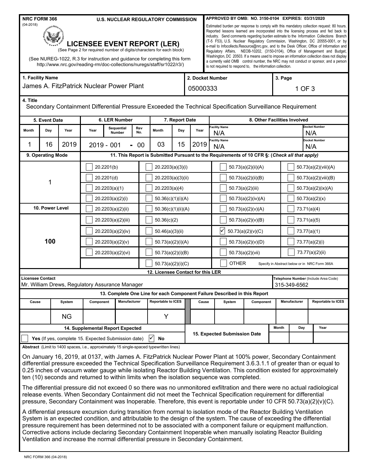| <b>NRC FORM 366</b><br><b>U.S. NUCLEAR REGULATORY COMMISSION</b><br>$(04 - 2018)$<br><b>LICENSEE EVENT REPORT (LER)</b><br>(See Page 2 for required number of digits/characters for each block) |                                                                                                                    |                                                                                                                                                      |                                  |                      |                          |                                   |                   |                              | APPROVED BY OMB: NO. 3150-0104 EXPIRES: 03/31/2020<br>Estimated burden per response to comply with this mandatory collection request: 80 hours.<br>Reported lessons learned are incorporated into the licensing process and fed back to<br>industry. Send comments regarding burden estimate to the Information Collections Branch<br>(T-5 F53), U.S. Nuclear Regulatory Commission, Washington, DC 20555-0001, or by<br>e-mail to Infocollects.Resource@nrc.gov, and to the Desk Officer, Office of Information and<br>Regulatory Affairs, NEOB-10202, (3150-0104), Office of Management and Budget, |                                                                                                                                                                                                                                                                                                                                                                                                                                                                                                                                                                                                                                                                                                                                                                                                                                                |                  |                              |                      |                                                                                                                                                                                      |  |
|-------------------------------------------------------------------------------------------------------------------------------------------------------------------------------------------------|--------------------------------------------------------------------------------------------------------------------|------------------------------------------------------------------------------------------------------------------------------------------------------|----------------------------------|----------------------|--------------------------|-----------------------------------|-------------------|------------------------------|-------------------------------------------------------------------------------------------------------------------------------------------------------------------------------------------------------------------------------------------------------------------------------------------------------------------------------------------------------------------------------------------------------------------------------------------------------------------------------------------------------------------------------------------------------------------------------------------------------|------------------------------------------------------------------------------------------------------------------------------------------------------------------------------------------------------------------------------------------------------------------------------------------------------------------------------------------------------------------------------------------------------------------------------------------------------------------------------------------------------------------------------------------------------------------------------------------------------------------------------------------------------------------------------------------------------------------------------------------------------------------------------------------------------------------------------------------------|------------------|------------------------------|----------------------|--------------------------------------------------------------------------------------------------------------------------------------------------------------------------------------|--|
|                                                                                                                                                                                                 |                                                                                                                    | (See NUREG-1022, R.3 for instruction and guidance for completing this form<br>http://www.nrc.gov/reading-rm/doc-collections/nuregs/staff/sr1022/r3/) |                                  |                      |                          |                                   |                   |                              |                                                                                                                                                                                                                                                                                                                                                                                                                                                                                                                                                                                                       | is not required to respond to, the information collection.                                                                                                                                                                                                                                                                                                                                                                                                                                                                                                                                                                                                                                                                                                                                                                                     |                  |                              |                      | Washington, DC 20503. If a means used to impose an information collection does not display<br>a currently valid OMB control number, the NRC may not conduct or sponsor, and a person |  |
|                                                                                                                                                                                                 | 1. Facility Name                                                                                                   |                                                                                                                                                      |                                  |                      |                          |                                   |                   | 2. Docket Number             |                                                                                                                                                                                                                                                                                                                                                                                                                                                                                                                                                                                                       |                                                                                                                                                                                                                                                                                                                                                                                                                                                                                                                                                                                                                                                                                                                                                                                                                                                |                  |                              | 3. Page              |                                                                                                                                                                                      |  |
|                                                                                                                                                                                                 | James A. FitzPatrick Nuclear Power Plant                                                                           |                                                                                                                                                      |                                  |                      |                          |                                   |                   |                              | 05000333                                                                                                                                                                                                                                                                                                                                                                                                                                                                                                                                                                                              |                                                                                                                                                                                                                                                                                                                                                                                                                                                                                                                                                                                                                                                                                                                                                                                                                                                |                  |                              | 1 OF 3               |                                                                                                                                                                                      |  |
| 4. Title                                                                                                                                                                                        |                                                                                                                    |                                                                                                                                                      |                                  |                      |                          |                                   |                   |                              |                                                                                                                                                                                                                                                                                                                                                                                                                                                                                                                                                                                                       | Secondary Containment Differential Pressure Exceeded the Technical Specification Surveillance Requirement                                                                                                                                                                                                                                                                                                                                                                                                                                                                                                                                                                                                                                                                                                                                      |                  |                              |                      |                                                                                                                                                                                      |  |
|                                                                                                                                                                                                 | 5. Event Date                                                                                                      |                                                                                                                                                      | 6. LER Number                    |                      |                          |                                   | 7. Report Date    |                              |                                                                                                                                                                                                                                                                                                                                                                                                                                                                                                                                                                                                       |                                                                                                                                                                                                                                                                                                                                                                                                                                                                                                                                                                                                                                                                                                                                                                                                                                                |                  | 8. Other Facilities Involved |                      |                                                                                                                                                                                      |  |
| Month                                                                                                                                                                                           | Day                                                                                                                | Year                                                                                                                                                 | Year                             | Sequential<br>Number | Rev<br>No.               | Month                             | Day               | Year                         |                                                                                                                                                                                                                                                                                                                                                                                                                                                                                                                                                                                                       | Facility Name<br>N/A                                                                                                                                                                                                                                                                                                                                                                                                                                                                                                                                                                                                                                                                                                                                                                                                                           |                  |                              | Docket Number<br>N/A |                                                                                                                                                                                      |  |
| 1                                                                                                                                                                                               | 16                                                                                                                 | 2019                                                                                                                                                 |                                  | $2019 - 001$         | $00\,$<br>$\blacksquare$ | 03                                | 15                | 2019                         |                                                                                                                                                                                                                                                                                                                                                                                                                                                                                                                                                                                                       | acility Name<br>Docket Number<br>N/A<br>N/A                                                                                                                                                                                                                                                                                                                                                                                                                                                                                                                                                                                                                                                                                                                                                                                                    |                  |                              |                      |                                                                                                                                                                                      |  |
|                                                                                                                                                                                                 | 9. Operating Mode<br>11. This Report is Submitted Pursuant to the Requirements of 10 CFR §: (Check all that apply) |                                                                                                                                                      |                                  |                      |                          |                                   |                   |                              |                                                                                                                                                                                                                                                                                                                                                                                                                                                                                                                                                                                                       |                                                                                                                                                                                                                                                                                                                                                                                                                                                                                                                                                                                                                                                                                                                                                                                                                                                |                  |                              |                      |                                                                                                                                                                                      |  |
|                                                                                                                                                                                                 |                                                                                                                    |                                                                                                                                                      | 20.2201(b)                       |                      |                          |                                   | 20.2203(a)(3)(i)  |                              |                                                                                                                                                                                                                                                                                                                                                                                                                                                                                                                                                                                                       | 50.73(a)(2)(ii)(A)                                                                                                                                                                                                                                                                                                                                                                                                                                                                                                                                                                                                                                                                                                                                                                                                                             |                  |                              | 50.73(a)(2)(viii)(A) |                                                                                                                                                                                      |  |
|                                                                                                                                                                                                 |                                                                                                                    |                                                                                                                                                      | 20.2201(d)                       |                      |                          | 20.2203(a)(3)(ii)                 |                   |                              | 50.73(a)(2)(ii)(B)                                                                                                                                                                                                                                                                                                                                                                                                                                                                                                                                                                                    |                                                                                                                                                                                                                                                                                                                                                                                                                                                                                                                                                                                                                                                                                                                                                                                                                                                |                  | 50.73(a)(2)(viii)(B)         |                      |                                                                                                                                                                                      |  |
|                                                                                                                                                                                                 |                                                                                                                    |                                                                                                                                                      | 20.2203(a)(1)                    |                      |                          | 20.2203(a)(4)                     |                   |                              | 50.73(a)(2)(iii)                                                                                                                                                                                                                                                                                                                                                                                                                                                                                                                                                                                      |                                                                                                                                                                                                                                                                                                                                                                                                                                                                                                                                                                                                                                                                                                                                                                                                                                                |                  | 50.73(a)(2)(ix)(A)           |                      |                                                                                                                                                                                      |  |
|                                                                                                                                                                                                 |                                                                                                                    |                                                                                                                                                      | 20.2203(a)(2)(i)                 |                      |                          | 50.36(c)(1)(i)(A)                 |                   |                              |                                                                                                                                                                                                                                                                                                                                                                                                                                                                                                                                                                                                       | 50.73(a)(2)(iv)(A)                                                                                                                                                                                                                                                                                                                                                                                                                                                                                                                                                                                                                                                                                                                                                                                                                             |                  |                              | 50.73(a)(2)(x)       |                                                                                                                                                                                      |  |
|                                                                                                                                                                                                 | 10. Power Level                                                                                                    |                                                                                                                                                      | 20.2203(a)(2)(ii)                |                      |                          | 50.36(c)(1)(ii)(A)                |                   |                              |                                                                                                                                                                                                                                                                                                                                                                                                                                                                                                                                                                                                       | 50.73(a)(2)(v)(A)                                                                                                                                                                                                                                                                                                                                                                                                                                                                                                                                                                                                                                                                                                                                                                                                                              |                  |                              | 73.71(a)(4)          |                                                                                                                                                                                      |  |
|                                                                                                                                                                                                 |                                                                                                                    |                                                                                                                                                      | 20.2203(a)(2)(iii)               |                      |                          | 50.36(c)(2)                       |                   |                              |                                                                                                                                                                                                                                                                                                                                                                                                                                                                                                                                                                                                       | 50.73(a)(2)(v)(B)                                                                                                                                                                                                                                                                                                                                                                                                                                                                                                                                                                                                                                                                                                                                                                                                                              |                  |                              | 73.71(a)(5)          |                                                                                                                                                                                      |  |
|                                                                                                                                                                                                 |                                                                                                                    |                                                                                                                                                      | 20.2203(a)(2)(iv)                |                      |                          | 50.46(a)(3)(ii)                   |                   |                              |                                                                                                                                                                                                                                                                                                                                                                                                                                                                                                                                                                                                       | $\checkmark$<br>50.73(a)(2)(v)(C)                                                                                                                                                                                                                                                                                                                                                                                                                                                                                                                                                                                                                                                                                                                                                                                                              |                  |                              | 73.77(a)(1)          |                                                                                                                                                                                      |  |
|                                                                                                                                                                                                 | 100                                                                                                                |                                                                                                                                                      | 20.2203(a)(2)(v)                 |                      |                          | 50.73(a)(2)(i)(A)                 |                   |                              |                                                                                                                                                                                                                                                                                                                                                                                                                                                                                                                                                                                                       | 50.73(a)(2)(v)(D)                                                                                                                                                                                                                                                                                                                                                                                                                                                                                                                                                                                                                                                                                                                                                                                                                              |                  |                              | 73.77(a)(2)(i)       |                                                                                                                                                                                      |  |
|                                                                                                                                                                                                 |                                                                                                                    |                                                                                                                                                      |                                  | 20.2203(a)(2)(vi)    |                          |                                   | 50.73(a)(2)(i)(B) |                              |                                                                                                                                                                                                                                                                                                                                                                                                                                                                                                                                                                                                       |                                                                                                                                                                                                                                                                                                                                                                                                                                                                                                                                                                                                                                                                                                                                                                                                                                                | 50.73(a)(2)(vii) |                              | 73.77(a)(2)(ii)      |                                                                                                                                                                                      |  |
|                                                                                                                                                                                                 |                                                                                                                    |                                                                                                                                                      |                                  |                      |                          | 50.73(a)(2)(i)(C)                 |                   |                              |                                                                                                                                                                                                                                                                                                                                                                                                                                                                                                                                                                                                       | <b>OTHER</b><br>Specify in Abstract below or in NRC Form 366A                                                                                                                                                                                                                                                                                                                                                                                                                                                                                                                                                                                                                                                                                                                                                                                  |                  |                              |                      |                                                                                                                                                                                      |  |
| <b>Licensee Contact</b>                                                                                                                                                                         |                                                                                                                    |                                                                                                                                                      |                                  |                      |                          | 12. Licensee Contact for this LER |                   |                              |                                                                                                                                                                                                                                                                                                                                                                                                                                                                                                                                                                                                       |                                                                                                                                                                                                                                                                                                                                                                                                                                                                                                                                                                                                                                                                                                                                                                                                                                                |                  |                              |                      |                                                                                                                                                                                      |  |
|                                                                                                                                                                                                 |                                                                                                                    | Mr. William Drews, Regulatory Assurance Manager                                                                                                      |                                  |                      |                          |                                   |                   |                              |                                                                                                                                                                                                                                                                                                                                                                                                                                                                                                                                                                                                       | Telephone Number (Include Area Code)<br>315-349-6562                                                                                                                                                                                                                                                                                                                                                                                                                                                                                                                                                                                                                                                                                                                                                                                           |                  |                              |                      |                                                                                                                                                                                      |  |
|                                                                                                                                                                                                 |                                                                                                                    |                                                                                                                                                      |                                  |                      |                          |                                   |                   |                              |                                                                                                                                                                                                                                                                                                                                                                                                                                                                                                                                                                                                       | 13. Complete One Line for each Component Failure Described in this Report                                                                                                                                                                                                                                                                                                                                                                                                                                                                                                                                                                                                                                                                                                                                                                      |                  |                              |                      |                                                                                                                                                                                      |  |
| Cause                                                                                                                                                                                           |                                                                                                                    | System                                                                                                                                               | Component                        |                      | Manufacturer             | Reportable to ICES                |                   |                              | Cause                                                                                                                                                                                                                                                                                                                                                                                                                                                                                                                                                                                                 | System                                                                                                                                                                                                                                                                                                                                                                                                                                                                                                                                                                                                                                                                                                                                                                                                                                         | Component        |                              | Manufacturer         | <b>Reportable to ICES</b>                                                                                                                                                            |  |
|                                                                                                                                                                                                 |                                                                                                                    | <b>NG</b>                                                                                                                                            |                                  |                      |                          | Y                                 |                   |                              |                                                                                                                                                                                                                                                                                                                                                                                                                                                                                                                                                                                                       |                                                                                                                                                                                                                                                                                                                                                                                                                                                                                                                                                                                                                                                                                                                                                                                                                                                |                  |                              |                      |                                                                                                                                                                                      |  |
|                                                                                                                                                                                                 |                                                                                                                    |                                                                                                                                                      | 14. Supplemental Report Expected |                      |                          |                                   |                   |                              |                                                                                                                                                                                                                                                                                                                                                                                                                                                                                                                                                                                                       |                                                                                                                                                                                                                                                                                                                                                                                                                                                                                                                                                                                                                                                                                                                                                                                                                                                |                  |                              | Day                  | Year                                                                                                                                                                                 |  |
| Yes (If yes, complete 15. Expected Submission date)<br>✓<br>No                                                                                                                                  |                                                                                                                    |                                                                                                                                                      |                                  |                      |                          |                                   |                   | 15. Expected Submission Date |                                                                                                                                                                                                                                                                                                                                                                                                                                                                                                                                                                                                       |                                                                                                                                                                                                                                                                                                                                                                                                                                                                                                                                                                                                                                                                                                                                                                                                                                                |                  |                              |                      |                                                                                                                                                                                      |  |
|                                                                                                                                                                                                 |                                                                                                                    | Abstract (Limit to 1400 spaces, i.e., approximately 15 single-spaced typewritten lines)                                                              |                                  |                      |                          |                                   |                   |                              |                                                                                                                                                                                                                                                                                                                                                                                                                                                                                                                                                                                                       |                                                                                                                                                                                                                                                                                                                                                                                                                                                                                                                                                                                                                                                                                                                                                                                                                                                |                  |                              |                      |                                                                                                                                                                                      |  |
|                                                                                                                                                                                                 |                                                                                                                    |                                                                                                                                                      |                                  |                      |                          |                                   |                   |                              |                                                                                                                                                                                                                                                                                                                                                                                                                                                                                                                                                                                                       | On January 16, 2019, at 0137, with James A. FitzPatrick Nuclear Power Plant at 100% power, Secondary Containment<br>differential pressure exceeded the Technical Specification Surveillance Requirement 3.6.3.1.1 of greater than or equal to<br>0.25 inches of vacuum water gauge while isolating Reactor Building Ventilation. This condition existed for approximately<br>ten (10) seconds and returned to within limits when the isolation sequence was completed.<br>The differential pressure did not exceed 0 so there was no unmonitored exfiltration and there were no actual radiological<br>release events. When Secondary Containment did not meet the Technical Specification requirement for differential<br>pressure, Secondary Containment was Inoperable. Therefore, this event is reportable under 10 CFR 50.73(a)(2)(v)(C). |                  |                              |                      |                                                                                                                                                                                      |  |
|                                                                                                                                                                                                 |                                                                                                                    |                                                                                                                                                      |                                  |                      |                          |                                   |                   |                              |                                                                                                                                                                                                                                                                                                                                                                                                                                                                                                                                                                                                       | A differential pressure excursion during transition from normal to isolation mode of the Reactor Building Ventilation<br>System is an expected condition, and attributable to the design of the system. The cause of exceeding the differential<br>pressure requirement has been determined not to be associated with a component failure or equipment malfunction.<br>Corrective actions include declaring Secondary Containment Inoperable when manually isolating Reactor Building<br>Ventilation and increase the normal differential pressure in Secondary Containment.                                                                                                                                                                                                                                                                   |                  |                              |                      |                                                                                                                                                                                      |  |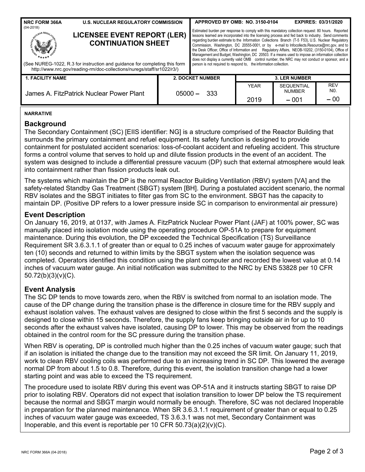| <b>NRC FORM 366A</b><br>$(04 - 2018)$    | <b>U.S. NUCLEAR REGULATORY COMMISSION</b>                                                                                                                                                                               |                                                                                                                                                                                                                                                                                                                                                                                                                                                                                                                                                                                                                                                                                                                                                                                                    | APPROVED BY OMB: NO. 3150-0104                  |             |                                    | <b>EXPIRES: 03/31/2020</b>   |  |  |
|------------------------------------------|-------------------------------------------------------------------------------------------------------------------------------------------------------------------------------------------------------------------------|----------------------------------------------------------------------------------------------------------------------------------------------------------------------------------------------------------------------------------------------------------------------------------------------------------------------------------------------------------------------------------------------------------------------------------------------------------------------------------------------------------------------------------------------------------------------------------------------------------------------------------------------------------------------------------------------------------------------------------------------------------------------------------------------------|-------------------------------------------------|-------------|------------------------------------|------------------------------|--|--|
|                                          | <b>LICENSEE EVENT REPORT (LER)</b><br><b>CONTINUATION SHEET</b><br>(See NUREG-1022, R.3 for instruction and guidance for completing this form<br>http://www.nrc.gov/reading-rm/doc-collections/nuregs/staff/sr1022/r3/) | Estimated burden per response to comply with this mandatory collection request: 80 hours. Reported<br>lessons learned are incorporated into the licensing process and fed back to industry. Send comments<br>regarding burden estimate to the Information Collections Branch (T-5 F53), U.S. Nuclear Regulatory<br>Commission, Washington, DC 20555-0001, or by e-mail to Infocollects.Resource@nrc.gov, and to<br>the Desk Officer, Office of Information and Regulatory Affairs, NEOB-10202, (3150-0104), Office of<br>Management and Budget, Washington, DC 20503. If a means used to impose an information collection<br>does not display a currently valid OMB control number, the NRC may not conduct or sponsor, and a<br>person is not required to respond to, the information collection. |                                                 |             |                                    |                              |  |  |
| <b>1. FACILITY NAME</b>                  |                                                                                                                                                                                                                         |                                                                                                                                                                                                                                                                                                                                                                                                                                                                                                                                                                                                                                                                                                                                                                                                    | <b>2. DOCKET NUMBER</b><br><b>3. LER NUMBER</b> |             |                                    |                              |  |  |
| James A. FitzPatrick Nuclear Power Plant |                                                                                                                                                                                                                         | $05000 -$                                                                                                                                                                                                                                                                                                                                                                                                                                                                                                                                                                                                                                                                                                                                                                                          | 333                                             | <b>YEAR</b> | <b>SEQUENTIAL</b><br><b>NUMBER</b> | <b>REV</b><br>N <sub>0</sub> |  |  |
|                                          |                                                                                                                                                                                                                         |                                                                                                                                                                                                                                                                                                                                                                                                                                                                                                                                                                                                                                                                                                                                                                                                    |                                                 | 2019        | $-001$                             | $-00$                        |  |  |

#### **NARRATIVE**

## **Background**

The Secondary Containment (SC) [EIIS identifier: NG] is a structure comprised of the Reactor Building that surrounds the primary containment and refuel equipment. Its safety function is designed to provide containment for postulated accident scenarios: loss-of-coolant accident and refueling accident. This structure forms a control volume that serves to hold up and dilute fission products in the event of an accident. The system was designed to include a differential pressure vacuum (DP) such that external atmosphere would leak into containment rather than fission products leak out.

The systems which maintain the DP is the normal Reactor Building Ventilation (RBV) system [VA] and the safety-related Standby Gas Treatment (SBGT) system [BH]. During a postulated accident scenario, the normal RBV isolates and the SBGT initiates to filter gas from SC to the environment. SBGT has the capacity to maintain DP. (Positive DP refers to a lower pressure inside SC in comparison to environmental air pressure)

## **Event Description**

On January 16, 2019, at 0137, with James A. FitzPatrick Nuclear Power Plant (JAF) at 100% power, SC was manually placed into isolation mode using the operating procedure OP-51A to prepare for equipment maintenance. During this evolution, the DP exceeded the Technical Specification (TS) Surveillance Requirement SR 3.6.3.1.1 of greater than or equal to 0.25 inches of vacuum water gauge for approximately ten (10) seconds and returned to within limits by the SBGT system when the isolation sequence was completed. Operators identified this condition using the plant computer and recorded the lowest value at 0.14 inches of vacuum water gauge. An initial notification was submitted to the NRC by ENS 53828 per 10 CFR 50.72(b)(3)(v)(C).

## **Event Analysis**

The SC DP tends to move towards zero, when the RBV is switched from normal to an isolation mode. The cause of the DP change during the transition phase is the difference in closure time for the RBV supply and exhaust isolation valves. The exhaust valves are designed to close within the first 5 seconds and the supply is designed to close within 15 seconds. Therefore, the supply fans keep bringing outside air in for up to 10 seconds after the exhaust valves have isolated, causing DP to lower. This may be observed from the readings obtained in the control room for the SC pressure during the transition phase.

When RBV is operating, DP is controlled much higher than the 0.25 inches of vacuum water gauge; such that if an isolation is initiated the change due to the transition may not exceed the SR limit. On January 11, 2019, work to clean RBV cooling coils was performed due to an increasing trend in SC DP. This lowered the average normal DP from about 1.5 to 0.8. Therefore, during this event, the isolation transition change had a lower starting point and was able to exceed the TS requirement.

The procedure used to isolate RBV during this event was OP-51A and it instructs starting SBGT to raise DP prior to isolating RBV. Operators did not expect that isolation transition to lower DP below the TS requirement because the normal and SBGT margin would normally be enough. Therefore, SC was not declared Inoperable in preparation for the planned maintenance. When SR 3.6.3.1.1 requirement of greater than or equal to 0.25 inches of vacuum water gauge was exceeded, TS 3.6.3.1 was not met, Secondary Containment was Inoperable, and this event is reportable per 10 CFR  $50.73(a)(2)(v)(C)$ .